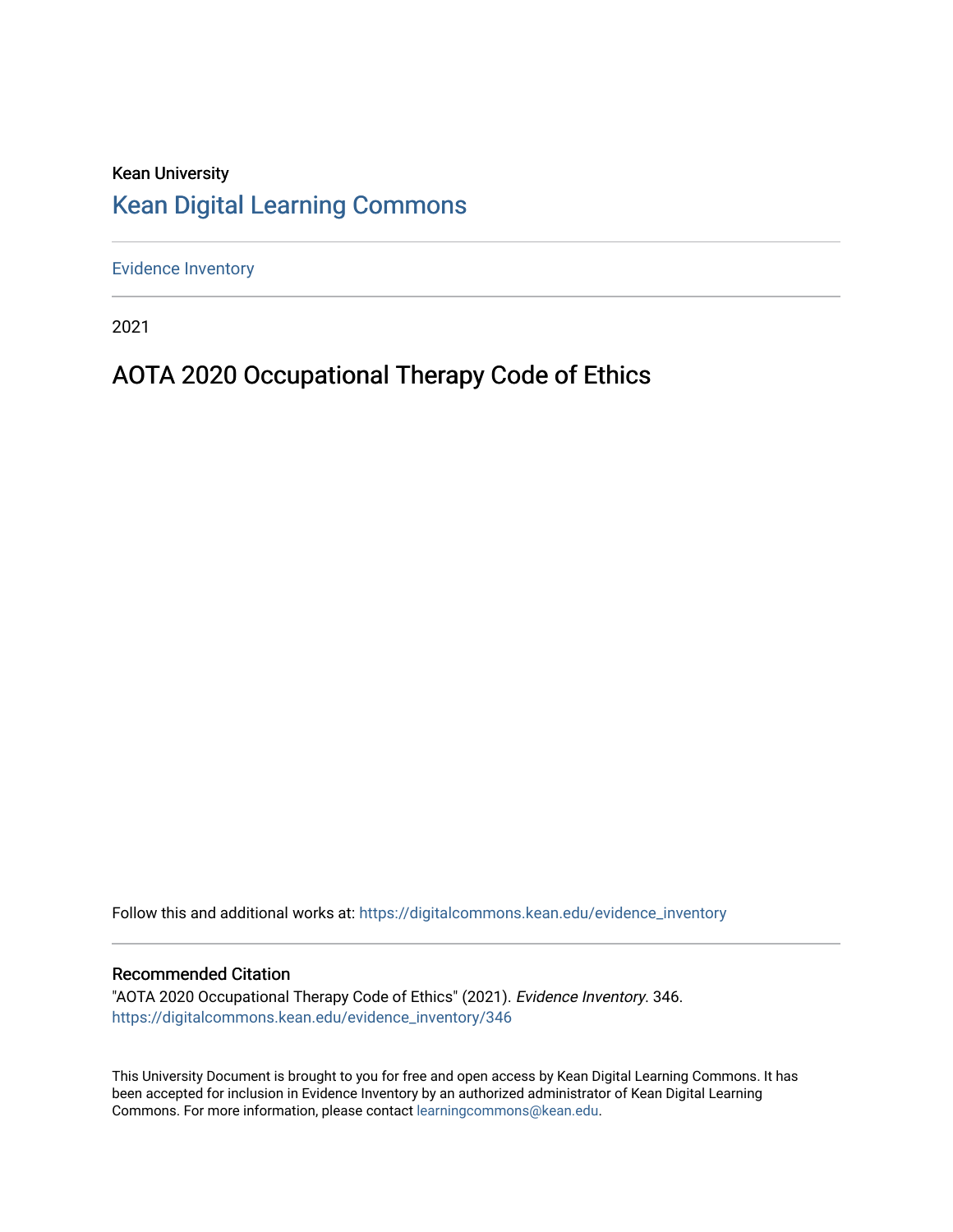# Kean University [Kean Digital Learning Commons](https://digitalcommons.kean.edu/)

[Evidence Inventory](https://digitalcommons.kean.edu/evidence_inventory) 

2021

# AOTA 2020 Occupational Therapy Code of Ethics

Follow this and additional works at: [https://digitalcommons.kean.edu/evidence\\_inventory](https://digitalcommons.kean.edu/evidence_inventory?utm_source=digitalcommons.kean.edu%2Fevidence_inventory%2F346&utm_medium=PDF&utm_campaign=PDFCoverPages)

#### Recommended Citation

"AOTA 2020 Occupational Therapy Code of Ethics" (2021). Evidence Inventory. 346. [https://digitalcommons.kean.edu/evidence\\_inventory/346](https://digitalcommons.kean.edu/evidence_inventory/346?utm_source=digitalcommons.kean.edu%2Fevidence_inventory%2F346&utm_medium=PDF&utm_campaign=PDFCoverPages)

This University Document is brought to you for free and open access by Kean Digital Learning Commons. It has been accepted for inclusion in Evidence Inventory by an authorized administrator of Kean Digital Learning Commons. For more information, please contact [learningcommons@kean.edu.](mailto:learningcommons@kean.edu)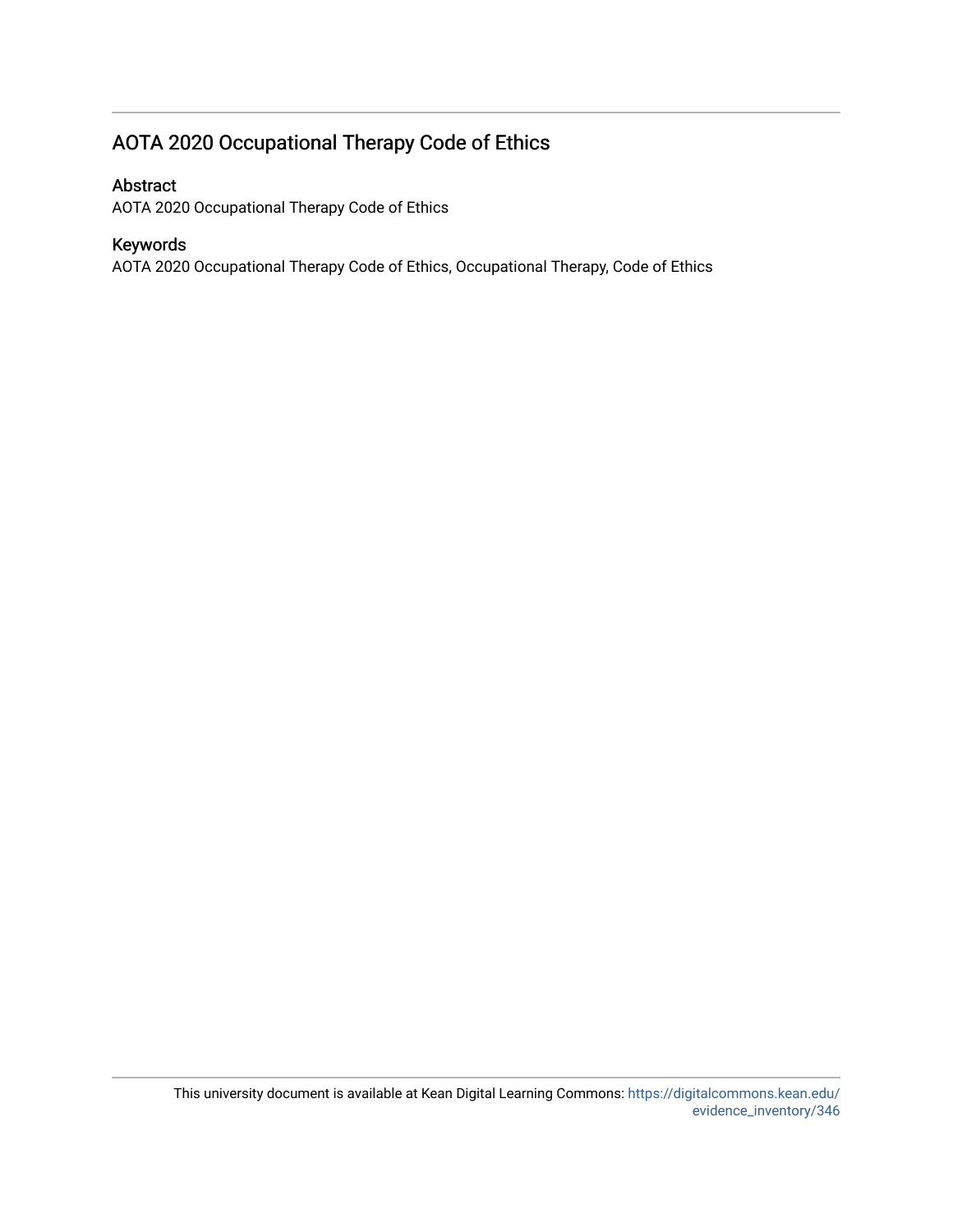# AOTA 2020 Occupational Therapy Code of Ethics

## Abstract

AOTA 2020 Occupational Therapy Code of Ethics

# Keywords

AOTA 2020 Occupational Therapy Code of Ethics, Occupational Therapy, Code of Ethics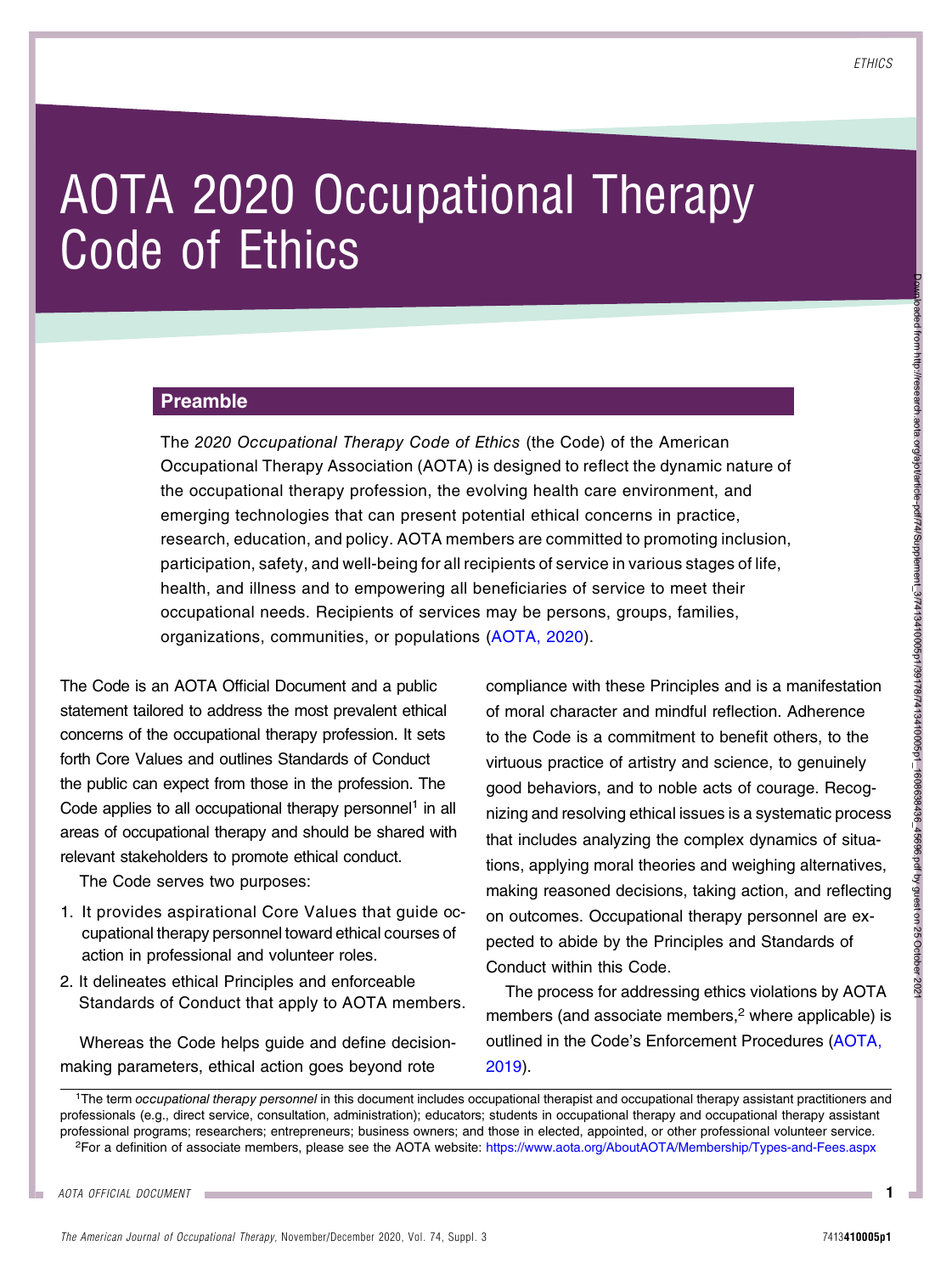Downloaded from http://research.aota.org/ajot/article-pdf/74/Supplement\_3/7413410005p1/39178/7413410005p1\_1608638436\_45696.pdf by guest on 25 October 2021oaded from http://research.adta.org/ajc/larticle-pdf74/Supplement\_3/7413410005p1/39178/7413410005p1\_1608639436\_45696.pdf by guest on 25 October 2021

# AOTA 2020 Occupational Therapy Code of Ethics

#### Preamble

The 2020 Occupational Therapy Code of Ethics (the Code) of the American Occupational Therapy Association (AOTA) is designed to reflect the dynamic nature of the occupational therapy profession, the evolving health care environment, and emerging technologies that can present potential ethical concerns in practice, research, education, and policy. AOTA members are committed to promoting inclusion, participation, safety, and well-being for all recipients of service in various stages of life, health, and illness and to empowering all beneficiaries of service to meet their occupational needs. Recipients of services may be persons, groups, families, organizations, communities, or populations ([AOTA, 2020\)](#page-11-0).

The Code is an AOTA Official Document and a public statement tailored to address the most prevalent ethical concerns of the occupational therapy profession. It sets forth Core Values and outlines Standards of Conduct the public can expect from those in the profession. The Code applies to all occupational therapy personnel<sup>1</sup> in all areas of occupational therapy and should be shared with relevant stakeholders to promote ethical conduct.

The Code serves two purposes:

- 1. It provides aspirational Core Values that guide occupational therapy personnel toward ethical courses of action in professional and volunteer roles.
- 2. It delineates ethical Principles and enforceable Standards of Conduct that apply to AOTA members.

Whereas the Code helps guide and define decisionmaking parameters, ethical action goes beyond rote

compliance with these Principles and is a manifestation of moral character and mindful reflection. Adherence to the Code is a commitment to benefit others, to the virtuous practice of artistry and science, to genuinely good behaviors, and to noble acts of courage. Recognizing and resolving ethical issues is a systematic process that includes analyzing the complex dynamics of situations, applying moral theories and weighing alternatives, making reasoned decisions, taking action, and reflecting on outcomes. Occupational therapy personnel are expected to abide by the Principles and Standards of Conduct within this Code.

The process for addressing ethics violations by AOTA members (and associate members, $2$  where applicable) is outlined in the Code's Enforcement Procedures [\(AOTA,](#page-11-1) [2019\)](#page-11-1).

<sup>1</sup>The term occupational therapy personnel in this document includes occupational therapist and occupational therapy assistant practitioners and professionals (e.g., direct service, consultation, administration); educators; students in occupational therapy and occupational therapy assistant professional programs; researchers; entrepreneurs; business owners; and those in elected, appointed, or other professional volunteer service. 2For a definition of associate members, please see the AOTA website: <https://www.aota.org/AboutAOTA/Membership/Types-and-Fees.aspx>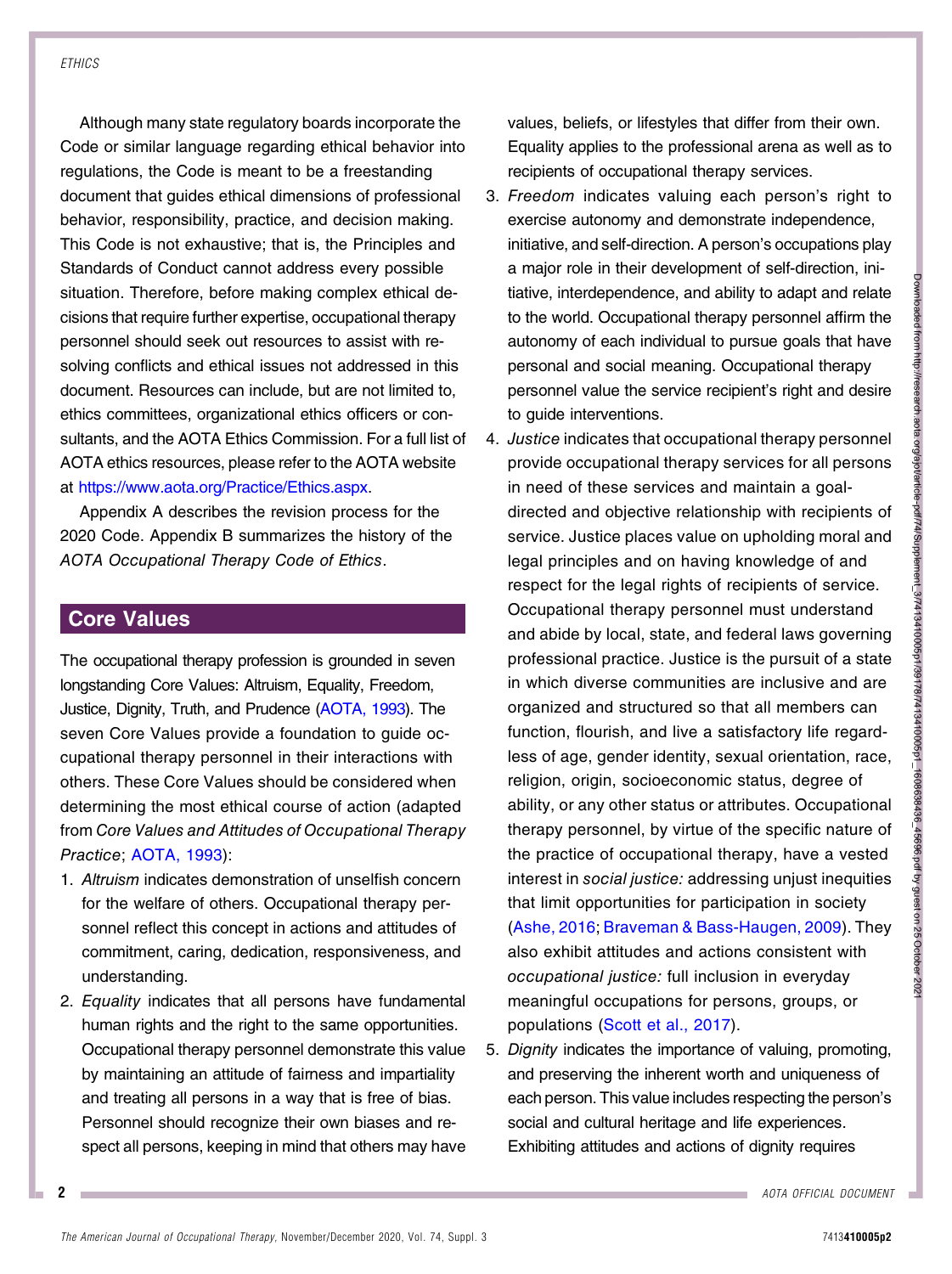Although many state regulatory boards incorporate the Code or similar language regarding ethical behavior into regulations, the Code is meant to be a freestanding document that guides ethical dimensions of professional behavior, responsibility, practice, and decision making. This Code is not exhaustive; that is, the Principles and Standards of Conduct cannot address every possible situation. Therefore, before making complex ethical decisions that require further expertise, occupational therapy personnel should seek out resources to assist with resolving conflicts and ethical issues not addressed in this document. Resources can include, but are not limited to, ethics committees, organizational ethics officers or consultants, and the AOTA Ethics Commission. For a full list of AOTA ethics resources, please refer to the AOTA website at <https://www.aota.org/Practice/Ethics.aspx>.

Appendix A describes the revision process for the 2020 Code. Appendix B summarizes the history of the AOTA Occupational Therapy Code of Ethics.

# Core Values

The occupational therapy profession is grounded in seven longstanding Core Values: Altruism, Equality, Freedom, Justice, Dignity, Truth, and Prudence [\(AOTA, 1993\)](#page-11-2). The seven Core Values provide a foundation to guide occupational therapy personnel in their interactions with others. These Core Values should be considered when determining the most ethical course of action (adapted from Core Values and Attitudes of Occupational Therapy Practice; [AOTA, 1993\)](#page-11-2):

- 1. Altruism indicates demonstration of unselfish concern for the welfare of others. Occupational therapy personnel reflect this concept in actions and attitudes of commitment, caring, dedication, responsiveness, and understanding.
- 2. Equality indicates that all persons have fundamental human rights and the right to the same opportunities. Occupational therapy personnel demonstrate this value by maintaining an attitude of fairness and impartiality and treating all persons in a way that is free of bias. Personnel should recognize their own biases and respect all persons, keeping in mind that others may have

values, beliefs, or lifestyles that differ from their own. Equality applies to the professional arena as well as to recipients of occupational therapy services.

- 3. Freedom indicates valuing each person's right to exercise autonomy and demonstrate independence, initiative, and self-direction. A person's occupations play a major role in their development of self-direction, initiative, interdependence, and ability to adapt and relate to the world. Occupational therapy personnel affirm the autonomy of each individual to pursue goals that have personal and social meaning. Occupational therapy personnel value the service recipient's right and desire to guide interventions.
- 4. Justice indicates that occupational therapy personnel provide occupational therapy services for all persons in need of these services and maintain a goaldirected and objective relationship with recipients of service. Justice places value on upholding moral and legal principles and on having knowledge of and respect for the legal rights of recipients of service. Occupational therapy personnel must understand and abide by local, state, and federal laws governing professional practice. Justice is the pursuit of a state in which diverse communities are inclusive and are organized and structured so that all members can function, flourish, and live a satisfactory life regardless of age, gender identity, sexual orientation, race, religion, origin, socioeconomic status, degree of ability, or any other status or attributes. Occupational therapy personnel, by virtue of the specific nature of the practice of occupational therapy, have a vested interest in social justice: addressing unjust inequities that limit opportunities for participation in society [\(Ashe, 2016](#page-11-3); [Braveman & Bass-Haugen, 2009](#page-11-4)). They also exhibit attitudes and actions consistent with occupational justice: full inclusion in everyday meaningful occupations for persons, groups, or populations ([Scott et al., 2017](#page-11-5)).
- 5. Dignity indicates the importance of valuing, promoting, and preserving the inherent worth and uniqueness of each person. This value includes respecting the person's social and cultural heritage and life experiences. Exhibiting attitudes and actions of dignity requires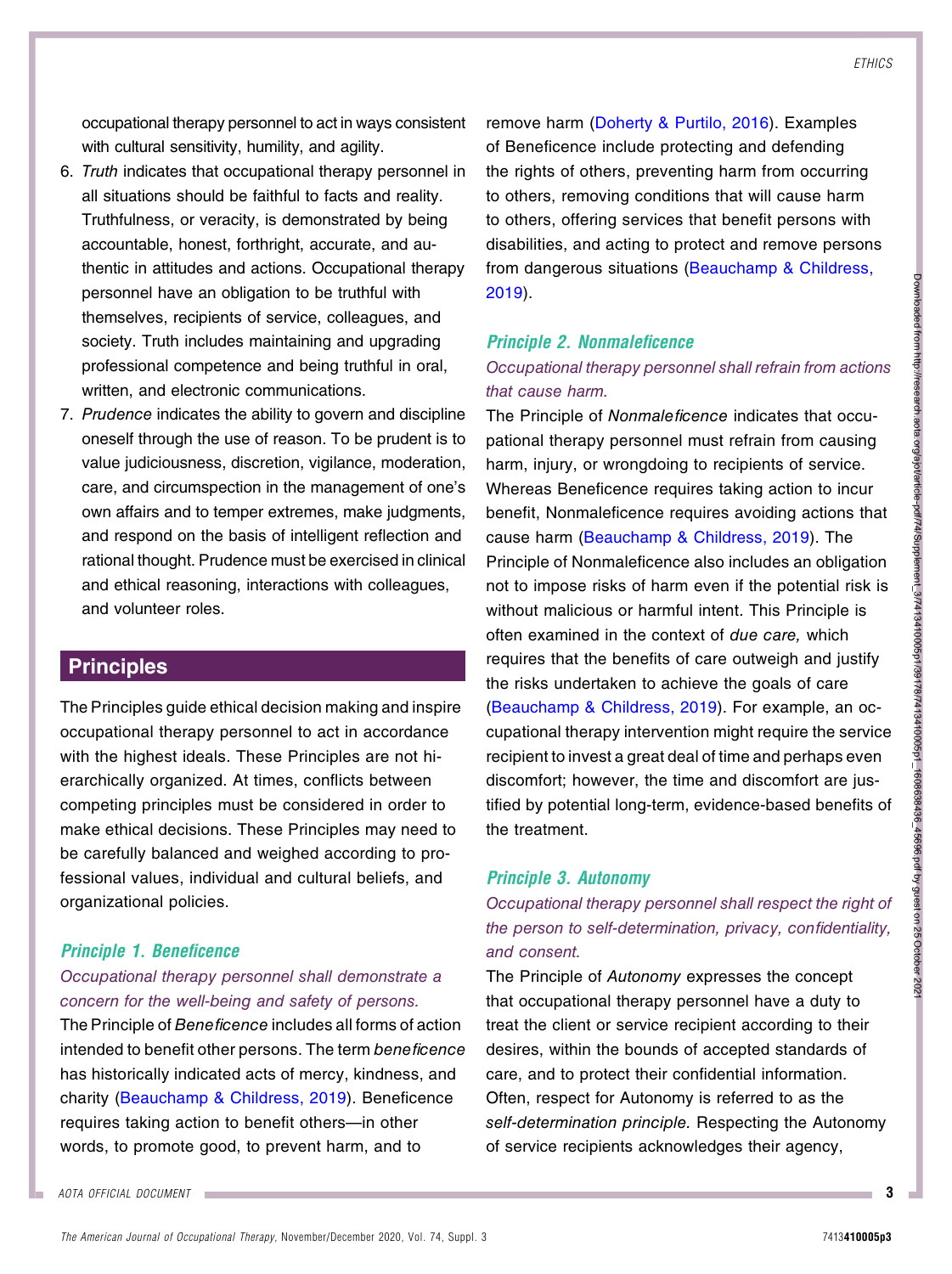occupational therapy personnel to act in ways consistent with cultural sensitivity, humility, and agility.

- 6. Truth indicates that occupational therapy personnel in all situations should be faithful to facts and reality. Truthfulness, or veracity, is demonstrated by being accountable, honest, forthright, accurate, and authentic in attitudes and actions. Occupational therapy personnel have an obligation to be truthful with themselves, recipients of service, colleagues, and society. Truth includes maintaining and upgrading professional competence and being truthful in oral, written, and electronic communications.
- 7. Prudence indicates the ability to govern and discipline oneself through the use of reason. To be prudent is to value judiciousness, discretion, vigilance, moderation, care, and circumspection in the management of one's own affairs and to temper extremes, make judgments, and respond on the basis of intelligent reflection and rational thought. Prudence must be exercised in clinical and ethical reasoning, interactions with colleagues, and volunteer roles.

# **Principles**

The Principles guide ethical decision making and inspire occupational therapy personnel to act in accordance with the highest ideals. These Principles are not hierarchically organized. At times, conflicts between competing principles must be considered in order to make ethical decisions. These Principles may need to be carefully balanced and weighed according to professional values, individual and cultural beliefs, and organizational policies.

#### Principle 1. Beneficence

#### Occupational therapy personnel shall demonstrate a concern for the well-being and safety of persons.

The Principle of Beneficence includes all forms of action intended to benefit other persons. The term beneficence has historically indicated acts of mercy, kindness, and charity ([Beauchamp & Childress, 2019\)](#page-11-6). Beneficence requires taking action to benefit others—in other words, to promote good, to prevent harm, and to

remove harm ([Doherty & Purtilo, 2016\)](#page-11-7). Examples of Beneficence include protecting and defending the rights of others, preventing harm from occurring to others, removing conditions that will cause harm to others, offering services that benefit persons with disabilities, and acting to protect and remove persons from dangerous situations ([Beauchamp & Childress,](#page-11-6) [2019](#page-11-6)).

# Principle 2. Nonmaleficence

## Occupational therapy personnel shall refrain from actions that cause harm.

The Principle of Nonmaleficence indicates that occupational therapy personnel must refrain from causing harm, injury, or wrongdoing to recipients of service. Whereas Beneficence requires taking action to incur benefit, Nonmaleficence requires avoiding actions that cause harm ([Beauchamp & Childress, 2019\)](#page-11-6). The Principle of Nonmaleficence also includes an obligation not to impose risks of harm even if the potential risk is without malicious or harmful intent. This Principle is often examined in the context of due care, which requires that the benefits of care outweigh and justify the risks undertaken to achieve the goals of care ([Beauchamp & Childress, 2019\)](#page-11-6). For example, an occupational therapy intervention might require the service recipient to invest a great deal of time and perhaps even discomfort; however, the time and discomfort are justified by potential long-term, evidence-based benefits of the treatment.

#### Principle 3. Autonomy

Occupational therapy personnel shall respect the right of the person to self-determination, privacy, confidentiality, and consent.

The Principle of Autonomy expresses the concept that occupational therapy personnel have a duty to treat the client or service recipient according to their desires, within the bounds of accepted standards of care, and to protect their confidential information. Often, respect for Autonomy is referred to as the self-determination principle. Respecting the Autonomy of service recipients acknowledges their agency,

AOTA OFFICIAL DOCUMENT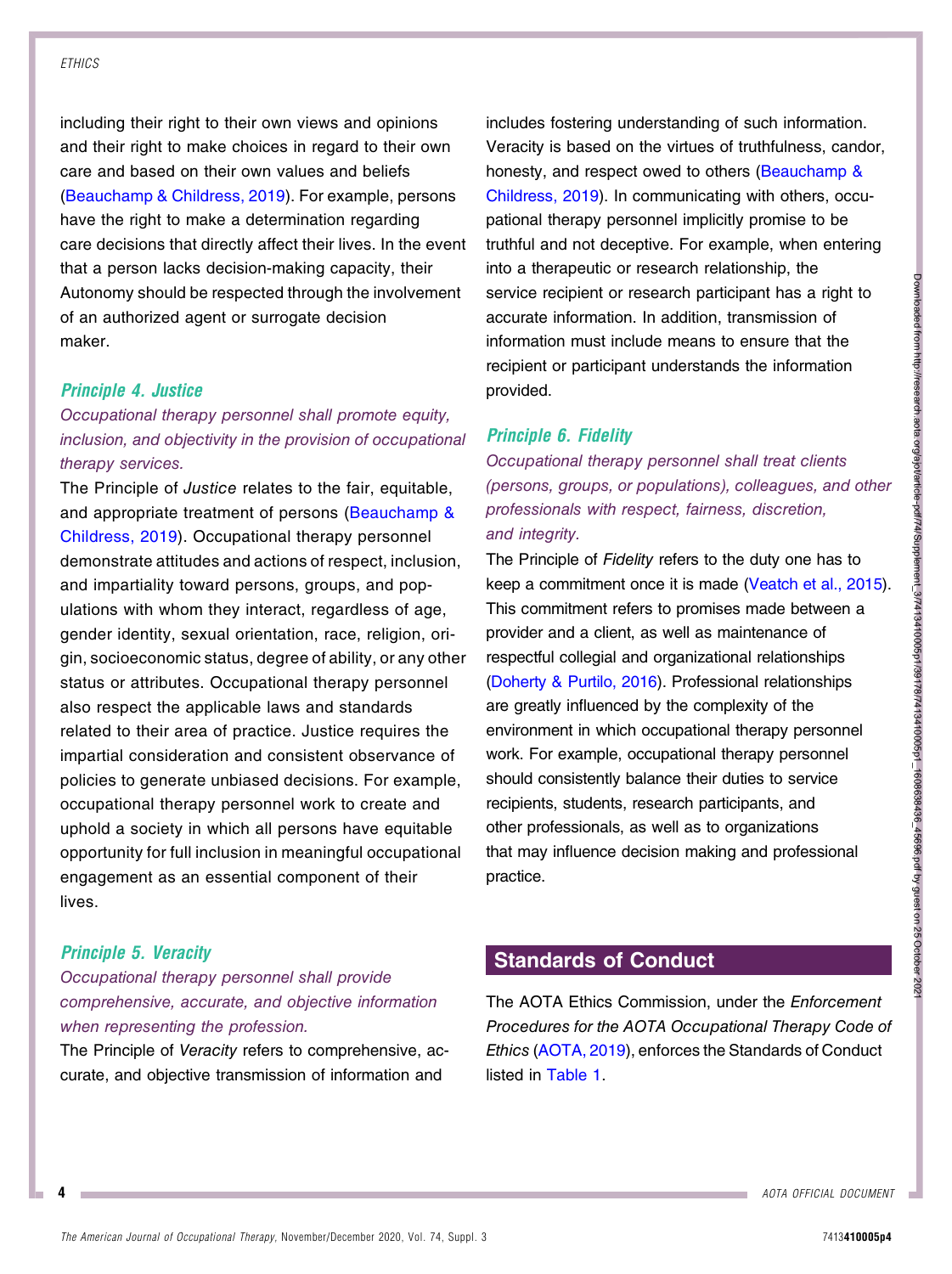including their right to their own views and opinions and their right to make choices in regard to their own care and based on their own values and beliefs [\(Beauchamp & Childress, 2019](#page-11-6)). For example, persons have the right to make a determination regarding care decisions that directly affect their lives. In the event that a person lacks decision-making capacity, their Autonomy should be respected through the involvement of an authorized agent or surrogate decision maker.

#### Principle 4. Justice

# Occupational therapy personnel shall promote equity, inclusion, and objectivity in the provision of occupational therapy services.

The Principle of Justice relates to the fair, equitable, and appropriate treatment of persons ([Beauchamp &](#page-11-6) [Childress, 2019](#page-11-6)). Occupational therapy personnel demonstrate attitudes and actions of respect, inclusion, and impartiality toward persons, groups, and populations with whom they interact, regardless of age, gender identity, sexual orientation, race, religion, origin, socioeconomic status, degree of ability, or any other status or attributes. Occupational therapy personnel also respect the applicable laws and standards related to their area of practice. Justice requires the impartial consideration and consistent observance of policies to generate unbiased decisions. For example, occupational therapy personnel work to create and uphold a society in which all persons have equitable opportunity for full inclusion in meaningful occupational engagement as an essential component of their lives.

#### Principle 5. Veracity

## Occupational therapy personnel shall provide comprehensive, accurate, and objective information when representing the profession.

The Principle of Veracity refers to comprehensive, accurate, and objective transmission of information and

includes fostering understanding of such information. Veracity is based on the virtues of truthfulness, candor, honesty, and respect owed to others ([Beauchamp &](#page-11-6) [Childress, 2019](#page-11-6)). In communicating with others, occupational therapy personnel implicitly promise to be truthful and not deceptive. For example, when entering into a therapeutic or research relationship, the service recipient or research participant has a right to accurate information. In addition, transmission of information must include means to ensure that the recipient or participant understands the information provided.

#### Principle 6. Fidelity

Occupational therapy personnel shall treat clients (persons, groups, or populations), colleagues, and other professionals with respect, fairness, discretion, and integrity.

The Principle of Fidelity refers to the duty one has to keep a commitment once it is made [\(Veatch et al., 2015](#page-11-8)). This commitment refers to promises made between a provider and a client, as well as maintenance of respectful collegial and organizational relationships ([Doherty & Purtilo, 2016\)](#page-11-7). Professional relationships are greatly influenced by the complexity of the environment in which occupational therapy personnel work. For example, occupational therapy personnel should consistently balance their duties to service recipients, students, research participants, and other professionals, as well as to organizations that may influence decision making and professional practice.

# Standards of Conduct

The AOTA Ethics Commission, under the Enforcement Procedures for the AOTA Occupational Therapy Code of Ethics ([AOTA, 2019\)](#page-11-1), enforces the Standards of Conduct listed in [Table 1.](#page-6-0)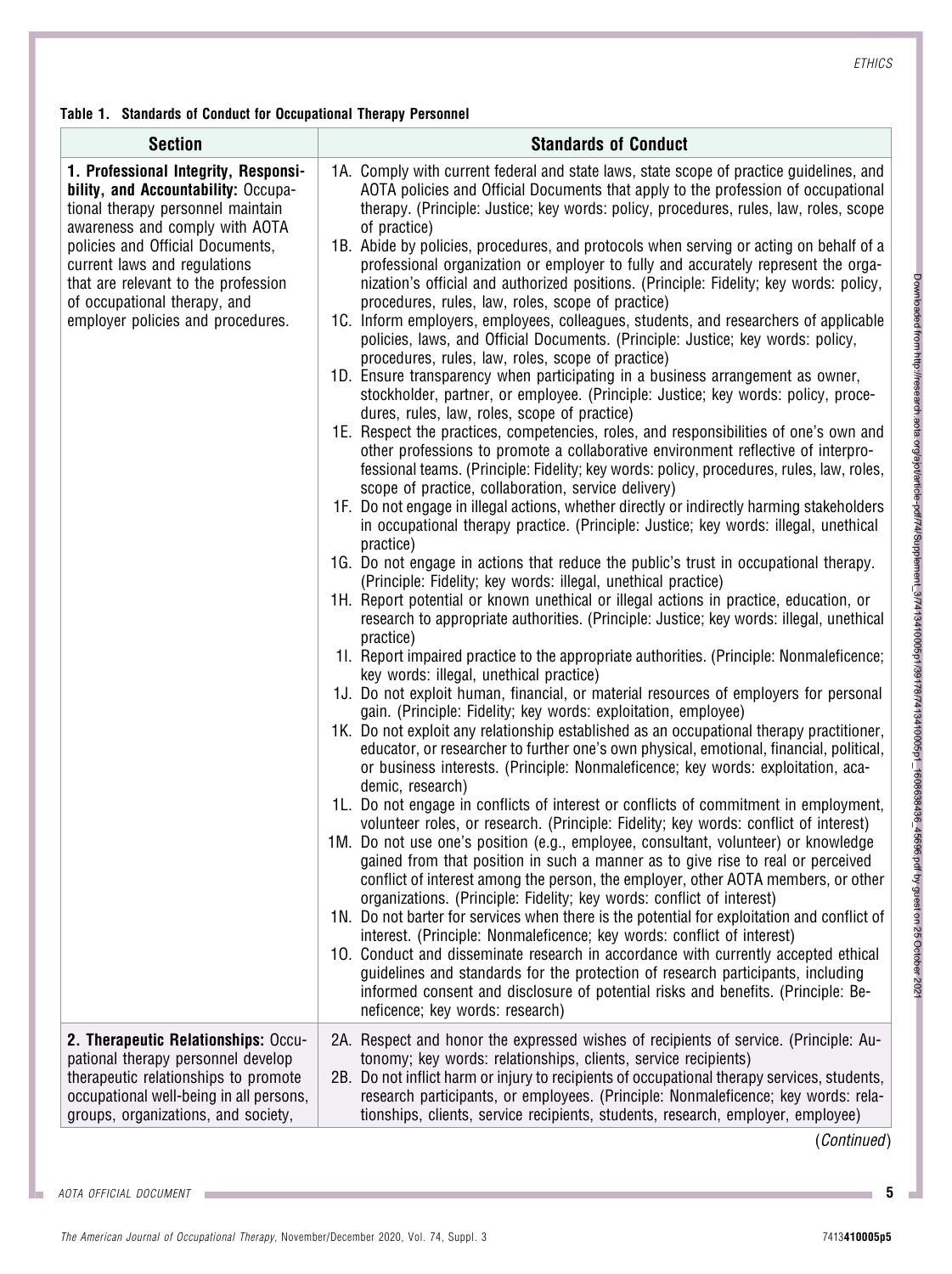<span id="page-6-0"></span>Table 1. Standards of Conduct for Occupational Therapy Personnel

| <b>Section</b>                                                                                                                                                                                                                                                                                                                     | <b>Standards of Conduct</b>                                                                                                                                                                                                                                                                                                                                                                                                                                                                                                                                                                                                                                                                                                                                                                                                                                                                                                                                                                                                                                                                                                                                                                                                                                                                                                                                                                                                                                                                                                                                                                                                                                                                                                                                                                                                                                                                                                                                                                                                                                                                                                                                                                                                                                                                                                                                                                                                                                                                                                                                                                                                                                                                                                                                                                                                                                                                                                                                                                                                                                                                                                                                                                                                                                                                                                                                                                                                                                                                                                                                            |
|------------------------------------------------------------------------------------------------------------------------------------------------------------------------------------------------------------------------------------------------------------------------------------------------------------------------------------|------------------------------------------------------------------------------------------------------------------------------------------------------------------------------------------------------------------------------------------------------------------------------------------------------------------------------------------------------------------------------------------------------------------------------------------------------------------------------------------------------------------------------------------------------------------------------------------------------------------------------------------------------------------------------------------------------------------------------------------------------------------------------------------------------------------------------------------------------------------------------------------------------------------------------------------------------------------------------------------------------------------------------------------------------------------------------------------------------------------------------------------------------------------------------------------------------------------------------------------------------------------------------------------------------------------------------------------------------------------------------------------------------------------------------------------------------------------------------------------------------------------------------------------------------------------------------------------------------------------------------------------------------------------------------------------------------------------------------------------------------------------------------------------------------------------------------------------------------------------------------------------------------------------------------------------------------------------------------------------------------------------------------------------------------------------------------------------------------------------------------------------------------------------------------------------------------------------------------------------------------------------------------------------------------------------------------------------------------------------------------------------------------------------------------------------------------------------------------------------------------------------------------------------------------------------------------------------------------------------------------------------------------------------------------------------------------------------------------------------------------------------------------------------------------------------------------------------------------------------------------------------------------------------------------------------------------------------------------------------------------------------------------------------------------------------------------------------------------------------------------------------------------------------------------------------------------------------------------------------------------------------------------------------------------------------------------------------------------------------------------------------------------------------------------------------------------------------------------------------------------------------------------------------------------------------------|
| 1. Professional Integrity, Responsi-<br>bility, and Accountability: Occupa-<br>tional therapy personnel maintain<br>awareness and comply with AOTA<br>policies and Official Documents,<br>current laws and regulations<br>that are relevant to the profession<br>of occupational therapy, and<br>employer policies and procedures. | 1A. Comply with current federal and state laws, state scope of practice guidelines, and<br>AOTA policies and Official Documents that apply to the profession of occupational<br>therapy. (Principle: Justice; key words: policy, procedures, rules, law, roles, scope<br>of practice)<br>1B. Abide by policies, procedures, and protocols when serving or acting on behalf of a<br>professional organization or employer to fully and accurately represent the orga-<br>nization's official and authorized positions. (Principle: Fidelity; key words: policy,<br>procedures, rules, law, roles, scope of practice)<br>1C. Inform employers, employees, colleagues, students, and researchers of applicable<br>policies, laws, and Official Documents. (Principle: Justice; key words: policy,<br>procedures, rules, law, roles, scope of practice)<br>1D. Ensure transparency when participating in a business arrangement as owner,<br>stockholder, partner, or employee. (Principle: Justice; key words: policy, proce-<br>dures, rules, law, roles, scope of practice)<br>1E. Respect the practices, competencies, roles, and responsibilities of one's own and<br>other professions to promote a collaborative environment reflective of interpro-<br>fessional teams. (Principle: Fidelity; key words: policy, procedures, rules, law, roles,<br>scope of practice, collaboration, service delivery)<br>1F. Do not engage in illegal actions, whether directly or indirectly harming stakeholders<br>in occupational therapy practice. (Principle: Justice; key words: illegal, unethical<br>practice)<br>1G. Do not engage in actions that reduce the public's trust in occupational therapy.<br>(Principle: Fidelity; key words: illegal, unethical practice)<br>1H. Report potential or known unethical or illegal actions in practice, education, or<br>research to appropriate authorities. (Principle: Justice; key words: illegal, unethical<br>practice)<br>11. Report impaired practice to the appropriate authorities. (Principle: Nonmaleficence;<br>key words: illegal, unethical practice)<br>1J. Do not exploit human, financial, or material resources of employers for personal<br>gain. (Principle: Fidelity; key words: exploitation, employee)<br>1K. Do not exploit any relationship established as an occupational therapy practitioner,<br>educator, or researcher to further one's own physical, emotional, financial, political,<br>or business interests. (Principle: Nonmaleficence; key words: exploitation, aca-<br>demic, research)<br>1L. Do not engage in conflicts of interest or conflicts of commitment in employment,<br>volunteer roles, or research. (Principle: Fidelity; key words: conflict of interest)<br>1M. Do not use one's position (e.g., employee, consultant, volunteer) or knowledge<br>gained from that position in such a manner as to give rise to real or perceived<br>conflict of interest among the person, the employer, other AOTA members, or other<br>organizations. (Principle: Fidelity; key words: conflict of interest)<br>1N. Do not barter for services when there is the potential for exploitation and conflict of<br>interest. (Principle: Nonmaleficence; key words: conflict of interest)<br>10. Conduct and disseminate research in accordance with currently accepted ethical<br>guidelines and standards for the protection of research participants, including<br>informed consent and disclosure of potential risks and benefits. (Principle: Be-<br>neficence; key words: research) |
| 2. Therapeutic Relationships: Occu-<br>pational therapy personnel develop<br>therapeutic relationships to promote<br>occupational well-being in all persons,<br>groups, organizations, and society,                                                                                                                                | 2A. Respect and honor the expressed wishes of recipients of service. (Principle: Au-<br>tonomy; key words: relationships, clients, service recipients)<br>2B. Do not inflict harm or injury to recipients of occupational therapy services, students,<br>research participants, or employees. (Principle: Nonmaleficence; key words: rela-<br>tionships, clients, service recipients, students, research, employer, employee)                                                                                                                                                                                                                                                                                                                                                                                                                                                                                                                                                                                                                                                                                                                                                                                                                                                                                                                                                                                                                                                                                                                                                                                                                                                                                                                                                                                                                                                                                                                                                                                                                                                                                                                                                                                                                                                                                                                                                                                                                                                                                                                                                                                                                                                                                                                                                                                                                                                                                                                                                                                                                                                                                                                                                                                                                                                                                                                                                                                                                                                                                                                                          |

(Continued)

Downloaded from http://research.aota.org/ajot/article-pdf/74/Supplement\_3/7413410005p1/2413410005p1\_1606638436\_45696.pdf by guest on 25 October 2021 Downloaded from http://research.aota.org/ajot/article-pdf/74/Supplement\_3/7413410005p1/39178/7413410005p1\_1608638436\_45696.pdf by guest on 25 October 2021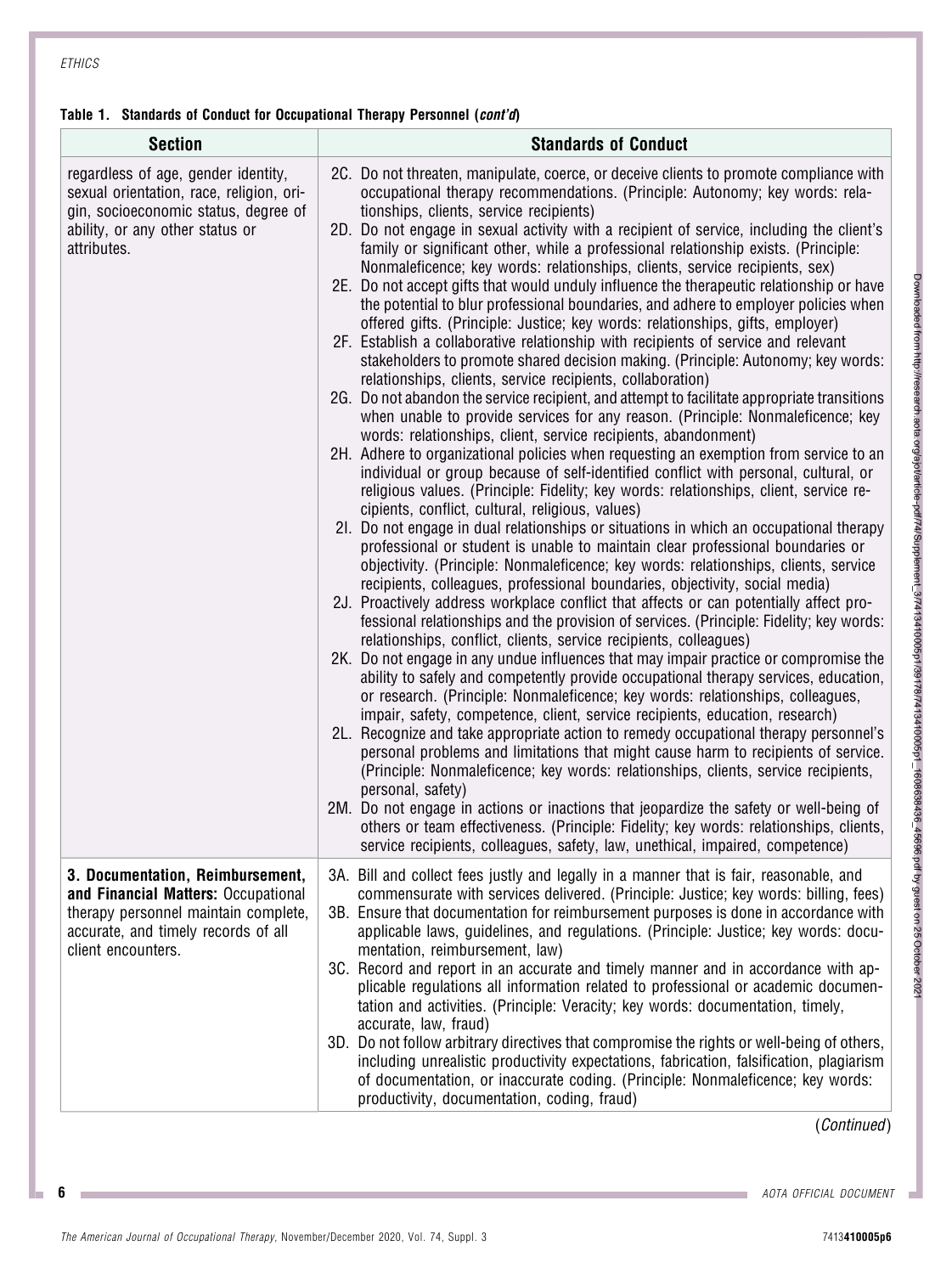## Table 1. Standards of Conduct for Occupational Therapy Personnel (cont'd)

| <b>Section</b>                                                                                                                                                               | <b>Standards of Conduct</b>                                                                                                                                                                                                                                                                                                                                                                                                                                                                                                                                                                                                                                                                                                                                                                                                                                                                                                                                                                                                                                                                                                                                                                                                                                                                                                                                                                                                                                                                                                                                                                                                                                                                                                                                                                                                                                                                                                                                                                                                                                                                                                                                                                                                                                                                                                                                                                                                                                                                                                                                                                                                                                                                                                                                                                                                                                                                                                                                                                                                                                                                               |
|------------------------------------------------------------------------------------------------------------------------------------------------------------------------------|-----------------------------------------------------------------------------------------------------------------------------------------------------------------------------------------------------------------------------------------------------------------------------------------------------------------------------------------------------------------------------------------------------------------------------------------------------------------------------------------------------------------------------------------------------------------------------------------------------------------------------------------------------------------------------------------------------------------------------------------------------------------------------------------------------------------------------------------------------------------------------------------------------------------------------------------------------------------------------------------------------------------------------------------------------------------------------------------------------------------------------------------------------------------------------------------------------------------------------------------------------------------------------------------------------------------------------------------------------------------------------------------------------------------------------------------------------------------------------------------------------------------------------------------------------------------------------------------------------------------------------------------------------------------------------------------------------------------------------------------------------------------------------------------------------------------------------------------------------------------------------------------------------------------------------------------------------------------------------------------------------------------------------------------------------------------------------------------------------------------------------------------------------------------------------------------------------------------------------------------------------------------------------------------------------------------------------------------------------------------------------------------------------------------------------------------------------------------------------------------------------------------------------------------------------------------------------------------------------------------------------------------------------------------------------------------------------------------------------------------------------------------------------------------------------------------------------------------------------------------------------------------------------------------------------------------------------------------------------------------------------------------------------------------------------------------------------------------------------------|
| regardless of age, gender identity,<br>sexual orientation, race, religion, ori-<br>gin, socioeconomic status, degree of<br>ability, or any other status or<br>attributes.    | 2C. Do not threaten, manipulate, coerce, or deceive clients to promote compliance with<br>occupational therapy recommendations. (Principle: Autonomy; key words: rela-<br>tionships, clients, service recipients)<br>2D. Do not engage in sexual activity with a recipient of service, including the client's<br>family or significant other, while a professional relationship exists. (Principle:<br>Nonmaleficence; key words: relationships, clients, service recipients, sex)<br>2E. Do not accept gifts that would unduly influence the therapeutic relationship or have<br>the potential to blur professional boundaries, and adhere to employer policies when<br>offered gifts. (Principle: Justice; key words: relationships, gifts, employer)<br>2F. Establish a collaborative relationship with recipients of service and relevant<br>stakeholders to promote shared decision making. (Principle: Autonomy; key words:<br>relationships, clients, service recipients, collaboration)<br>2G. Do not abandon the service recipient, and attempt to facilitate appropriate transitions<br>when unable to provide services for any reason. (Principle: Nonmaleficence; key<br>words: relationships, client, service recipients, abandonment)<br>2H. Adhere to organizational policies when requesting an exemption from service to an<br>individual or group because of self-identified conflict with personal, cultural, or<br>religious values. (Principle: Fidelity; key words: relationships, client, service re-<br>cipients, conflict, cultural, religious, values)<br>2I. Do not engage in dual relationships or situations in which an occupational therapy<br>professional or student is unable to maintain clear professional boundaries or<br>objectivity. (Principle: Nonmaleficence; key words: relationships, clients, service<br>recipients, colleagues, professional boundaries, objectivity, social media)<br>2J. Proactively address workplace conflict that affects or can potentially affect pro-<br>fessional relationships and the provision of services. (Principle: Fidelity; key words:<br>relationships, conflict, clients, service recipients, colleagues)<br>2K. Do not engage in any undue influences that may impair practice or compromise the<br>ability to safely and competently provide occupational therapy services, education,<br>or research. (Principle: Nonmaleficence; key words: relationships, colleagues,<br>impair, safety, competence, client, service recipients, education, research)<br>2L. Recognize and take appropriate action to remedy occupational therapy personnel's<br>personal problems and limitations that might cause harm to recipients of service.<br>(Principle: Nonmaleficence; key words: relationships, clients, service recipients,<br>personal, safety)<br>2M. Do not engage in actions or inactions that jeopardize the safety or well-being of<br>others or team effectiveness. (Principle: Fidelity; key words: relationships, clients,<br>service recipients, colleagues, safety, law, unethical, impaired, competence) |
| 3. Documentation, Reimbursement,<br>and Financial Matters: Occupational<br>therapy personnel maintain complete,<br>accurate, and timely records of all<br>client encounters. | 3A. Bill and collect fees justly and legally in a manner that is fair, reasonable, and<br>commensurate with services delivered. (Principle: Justice; key words: billing, fees)<br>3B. Ensure that documentation for reimbursement purposes is done in accordance with<br>applicable laws, guidelines, and regulations. (Principle: Justice; key words: docu-<br>mentation, reimbursement, law)<br>3C. Record and report in an accurate and timely manner and in accordance with ap-<br>plicable regulations all information related to professional or academic documen-<br>tation and activities. (Principle: Veracity; key words: documentation, timely,<br>accurate, law, fraud)<br>3D. Do not follow arbitrary directives that compromise the rights or well-being of others,<br>including unrealistic productivity expectations, fabrication, falsification, plagiarism<br>of documentation, or inaccurate coding. (Principle: Nonmaleficence; key words:<br>productivity, documentation, coding, fraud)                                                                                                                                                                                                                                                                                                                                                                                                                                                                                                                                                                                                                                                                                                                                                                                                                                                                                                                                                                                                                                                                                                                                                                                                                                                                                                                                                                                                                                                                                                                                                                                                                                                                                                                                                                                                                                                                                                                                                                                                                                                                                             |

(Continued)

**6** AOTA OFFICIAL DOCUMENT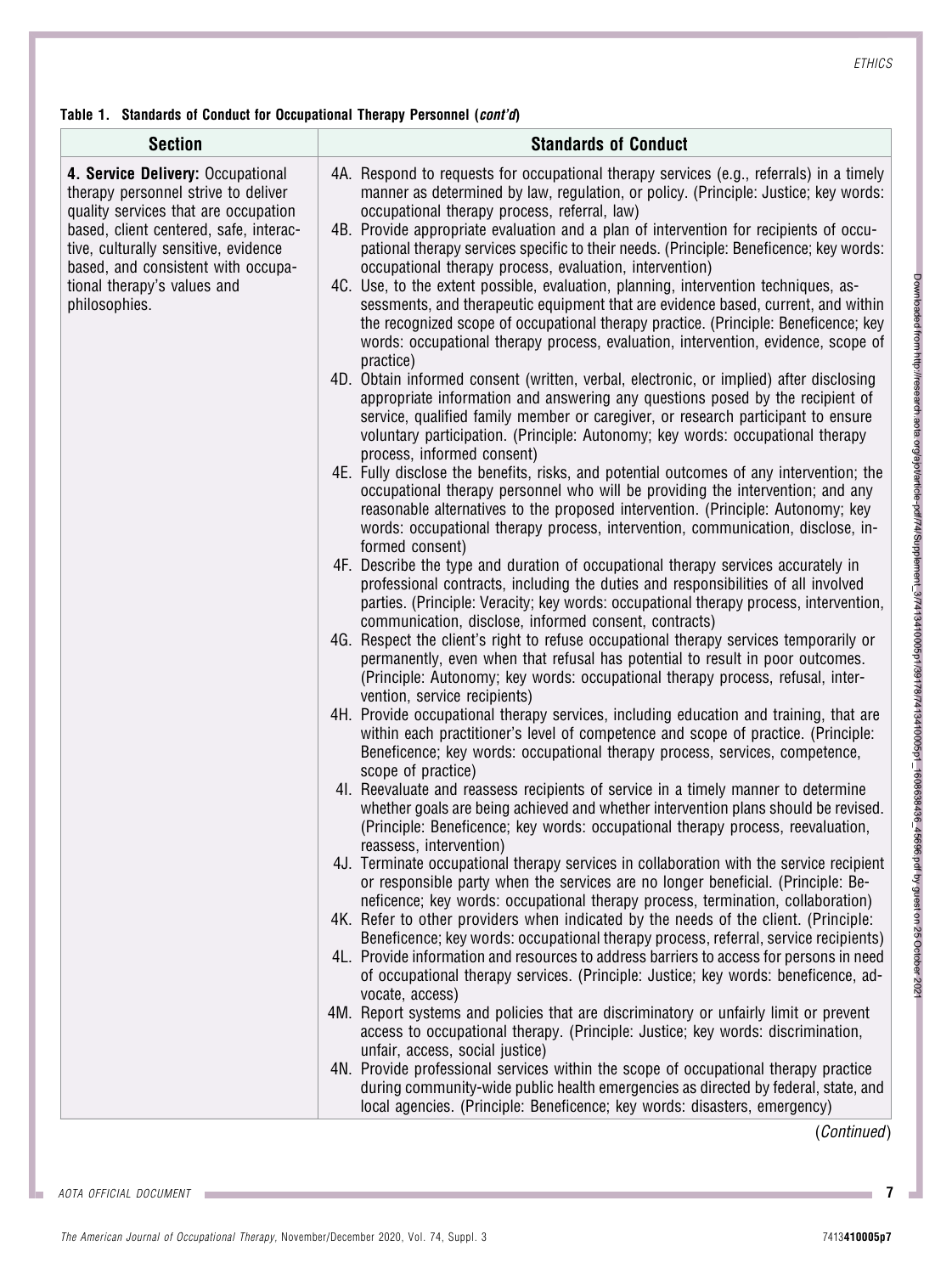Table 1. Standards of Conduct for Occupational Therapy Personnel (cont'd)

| <b>Section</b>                                                                                                                                                                                                                                                                           | <b>Standards of Conduct</b>                                                                                                                                                                                                                                                                                                                                                                                                                                                                                                                                                                                                                                                                                                                                                                                                                                                                                                                                                                                                                                                                                                                                                                                                                                                                                                                                                                                                                                                                                                                                                                                                                                                                                                                                                                                                                                                                                                                                                                                                                                                                                                                                                                                                                                                                                                                                                                                                                                                                                                                                                                                                                                                                                                                                                                                                                                                                                                                                                                                                                                                                                                                                                                                                                                                                                                                                                                                                                                                                                                                                                                                                                                                                                                                                                                                                                                                                                                            |
|------------------------------------------------------------------------------------------------------------------------------------------------------------------------------------------------------------------------------------------------------------------------------------------|----------------------------------------------------------------------------------------------------------------------------------------------------------------------------------------------------------------------------------------------------------------------------------------------------------------------------------------------------------------------------------------------------------------------------------------------------------------------------------------------------------------------------------------------------------------------------------------------------------------------------------------------------------------------------------------------------------------------------------------------------------------------------------------------------------------------------------------------------------------------------------------------------------------------------------------------------------------------------------------------------------------------------------------------------------------------------------------------------------------------------------------------------------------------------------------------------------------------------------------------------------------------------------------------------------------------------------------------------------------------------------------------------------------------------------------------------------------------------------------------------------------------------------------------------------------------------------------------------------------------------------------------------------------------------------------------------------------------------------------------------------------------------------------------------------------------------------------------------------------------------------------------------------------------------------------------------------------------------------------------------------------------------------------------------------------------------------------------------------------------------------------------------------------------------------------------------------------------------------------------------------------------------------------------------------------------------------------------------------------------------------------------------------------------------------------------------------------------------------------------------------------------------------------------------------------------------------------------------------------------------------------------------------------------------------------------------------------------------------------------------------------------------------------------------------------------------------------------------------------------------------------------------------------------------------------------------------------------------------------------------------------------------------------------------------------------------------------------------------------------------------------------------------------------------------------------------------------------------------------------------------------------------------------------------------------------------------------------------------------------------------------------------------------------------------------------------------------------------------------------------------------------------------------------------------------------------------------------------------------------------------------------------------------------------------------------------------------------------------------------------------------------------------------------------------------------------------------------------------------------------------------------------------------------------------------|
| 4. Service Delivery: Occupational<br>therapy personnel strive to deliver<br>quality services that are occupation<br>based, client centered, safe, interac-<br>tive, culturally sensitive, evidence<br>based, and consistent with occupa-<br>tional therapy's values and<br>philosophies. | 4A. Respond to requests for occupational therapy services (e.g., referrals) in a timely<br>manner as determined by law, regulation, or policy. (Principle: Justice; key words:<br>occupational therapy process, referral, law)<br>4B. Provide appropriate evaluation and a plan of intervention for recipients of occu-<br>pational therapy services specific to their needs. (Principle: Beneficence; key words:<br>occupational therapy process, evaluation, intervention)<br>4C. Use, to the extent possible, evaluation, planning, intervention techniques, as-<br>sessments, and therapeutic equipment that are evidence based, current, and within<br>the recognized scope of occupational therapy practice. (Principle: Beneficence; key<br>words: occupational therapy process, evaluation, intervention, evidence, scope of<br>practice)<br>4D. Obtain informed consent (written, verbal, electronic, or implied) after disclosing<br>appropriate information and answering any questions posed by the recipient of<br>service, qualified family member or caregiver, or research participant to ensure<br>voluntary participation. (Principle: Autonomy; key words: occupational therapy<br>process, informed consent)<br>4E. Fully disclose the benefits, risks, and potential outcomes of any intervention; the<br>occupational therapy personnel who will be providing the intervention; and any<br>reasonable alternatives to the proposed intervention. (Principle: Autonomy; key<br>words: occupational therapy process, intervention, communication, disclose, in-<br>formed consent)<br>4F. Describe the type and duration of occupational therapy services accurately in<br>professional contracts, including the duties and responsibilities of all involved<br>parties. (Principle: Veracity; key words: occupational therapy process, intervention,<br>communication, disclose, informed consent, contracts)<br>4G. Respect the client's right to refuse occupational therapy services temporarily or<br>permanently, even when that refusal has potential to result in poor outcomes.<br>(Principle: Autonomy; key words: occupational therapy process, refusal, inter-<br>vention, service recipients)<br>4H. Provide occupational therapy services, including education and training, that are<br>within each practitioner's level of competence and scope of practice. (Principle:<br>Beneficence; key words: occupational therapy process, services, competence,<br>scope of practice)<br>41. Reevaluate and reassess recipients of service in a timely manner to determine<br>whether goals are being achieved and whether intervention plans should be revised.<br>(Principle: Beneficence; key words: occupational therapy process, reevaluation,<br>reassess, intervention)<br>4J. Terminate occupational therapy services in collaboration with the service recipient<br>or responsible party when the services are no longer beneficial. (Principle: Be-<br>neficence; key words: occupational therapy process, termination, collaboration)<br>4K. Refer to other providers when indicated by the needs of the client. (Principle:<br>Beneficence; key words: occupational therapy process, referral, service recipients)<br>4L. Provide information and resources to address barriers to access for persons in need<br>of occupational therapy services. (Principle: Justice; key words: beneficence, ad-<br>vocate, access)<br>4M. Report systems and policies that are discriminatory or unfairly limit or prevent<br>access to occupational therapy. (Principle: Justice; key words: discrimination,<br>unfair, access, social justice)<br>4N. Provide professional services within the scope of occupational therapy practice<br>during community-wide public health emergencies as directed by federal, state, and<br>local agencies. (Principle: Beneficence; key words: disasters, emergency) |

(Continued)

Downloaded from http://research.aota.org/ajot/article-pdf/74/Supplement\_3/7413410005p1/2413410005p1\_1606638436\_45696.pdf by guest on 25 October 2021 Downloaded from http://research.aota.org/ajot/article-pdf/74/Supplement\_3/7413410005p1/39178/7413410005p1\_1608638436\_45696.pdf by guest on 25 October 2021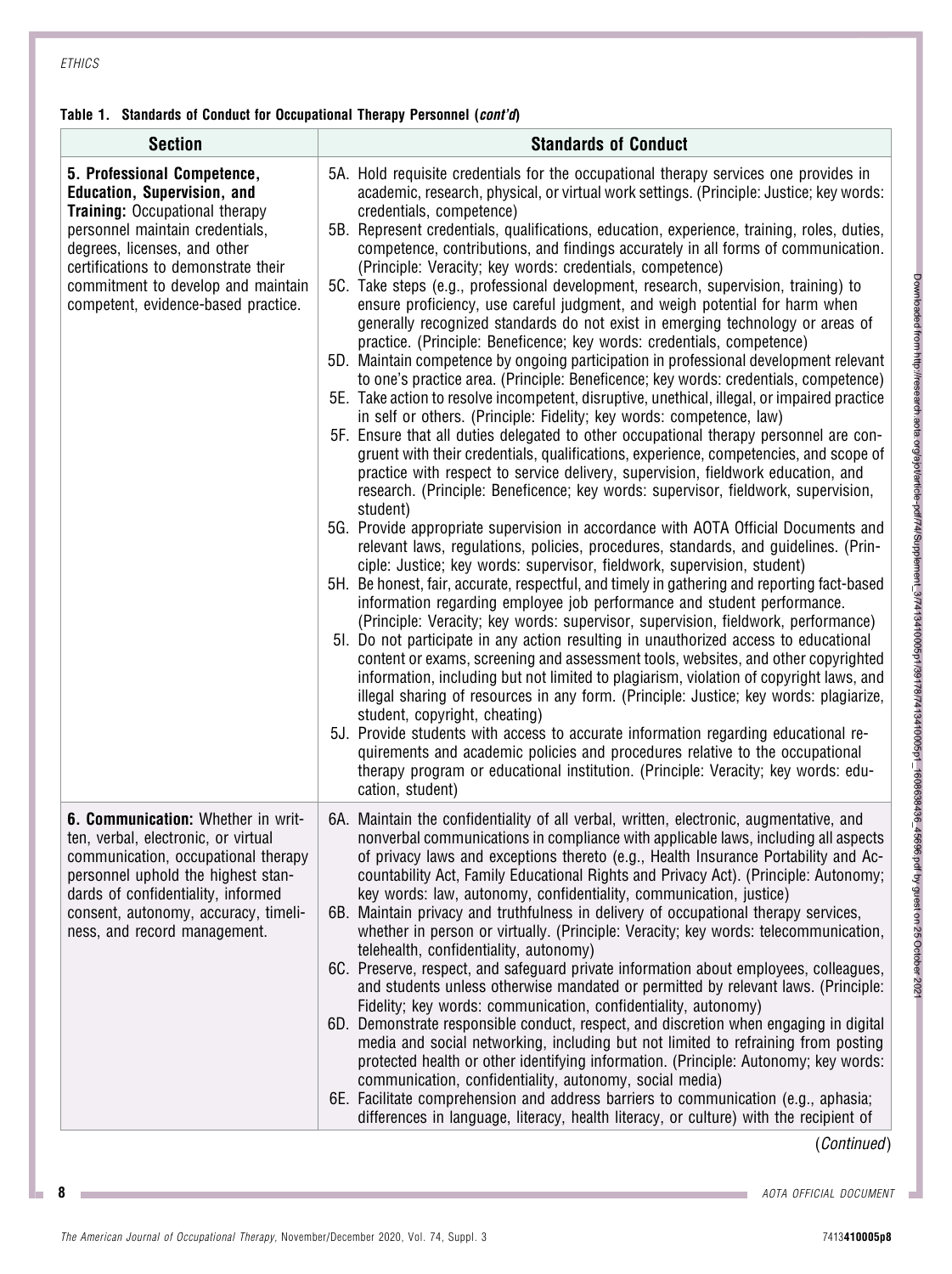## Table 1. Standards of Conduct for Occupational Therapy Personnel (cont'd)

| <b>Section</b>                                                                                                                                                                                                                                                                                    | <b>Standards of Conduct</b>                                                                                                                                                                                                                                                                                                                                                                                                                                                                                                                                                                                                                                                                                                                                                                                                                                                                                                                                                                                                                                                                                                                                                                                                                                                                                                                                                                                                                                                                                                                                                                                                                                                                                                                                                                                                                                                                                                                                                                                                                                                                                                                                                                                                                                                                                                                                                                                                                                                                                                                                                                                                                                                                                                          |
|---------------------------------------------------------------------------------------------------------------------------------------------------------------------------------------------------------------------------------------------------------------------------------------------------|--------------------------------------------------------------------------------------------------------------------------------------------------------------------------------------------------------------------------------------------------------------------------------------------------------------------------------------------------------------------------------------------------------------------------------------------------------------------------------------------------------------------------------------------------------------------------------------------------------------------------------------------------------------------------------------------------------------------------------------------------------------------------------------------------------------------------------------------------------------------------------------------------------------------------------------------------------------------------------------------------------------------------------------------------------------------------------------------------------------------------------------------------------------------------------------------------------------------------------------------------------------------------------------------------------------------------------------------------------------------------------------------------------------------------------------------------------------------------------------------------------------------------------------------------------------------------------------------------------------------------------------------------------------------------------------------------------------------------------------------------------------------------------------------------------------------------------------------------------------------------------------------------------------------------------------------------------------------------------------------------------------------------------------------------------------------------------------------------------------------------------------------------------------------------------------------------------------------------------------------------------------------------------------------------------------------------------------------------------------------------------------------------------------------------------------------------------------------------------------------------------------------------------------------------------------------------------------------------------------------------------------------------------------------------------------------------------------------------------------|
| 5. Professional Competence,<br><b>Education, Supervision, and</b><br><b>Training: Occupational therapy</b><br>personnel maintain credentials,<br>degrees, licenses, and other<br>certifications to demonstrate their<br>commitment to develop and maintain<br>competent, evidence-based practice. | 5A. Hold requisite credentials for the occupational therapy services one provides in<br>academic, research, physical, or virtual work settings. (Principle: Justice; key words:<br>credentials, competence)<br>5B. Represent credentials, qualifications, education, experience, training, roles, duties,<br>competence, contributions, and findings accurately in all forms of communication.<br>(Principle: Veracity; key words: credentials, competence)<br>5C. Take steps (e.g., professional development, research, supervision, training) to<br>ensure proficiency, use careful judgment, and weigh potential for harm when<br>generally recognized standards do not exist in emerging technology or areas of<br>practice. (Principle: Beneficence; key words: credentials, competence)<br>5D. Maintain competence by ongoing participation in professional development relevant<br>to one's practice area. (Principle: Beneficence; key words: credentials, competence)<br>5E. Take action to resolve incompetent, disruptive, unethical, illegal, or impaired practice<br>in self or others. (Principle: Fidelity; key words: competence, law)<br>5F. Ensure that all duties delegated to other occupational therapy personnel are con-<br>gruent with their credentials, qualifications, experience, competencies, and scope of<br>practice with respect to service delivery, supervision, fieldwork education, and<br>research. (Principle: Beneficence; key words: supervisor, fieldwork, supervision,<br>student)<br>5G. Provide appropriate supervision in accordance with AOTA Official Documents and<br>relevant laws, regulations, policies, procedures, standards, and guidelines. (Prin-<br>ciple: Justice; key words: supervisor, fieldwork, supervision, student)<br>5H. Be honest, fair, accurate, respectful, and timely in gathering and reporting fact-based<br>information regarding employee job performance and student performance.<br>(Principle: Veracity; key words: supervisor, supervision, fieldwork, performance)<br>51. Do not participate in any action resulting in unauthorized access to educational<br>content or exams, screening and assessment tools, websites, and other copyrighted<br>information, including but not limited to plagiarism, violation of copyright laws, and<br>illegal sharing of resources in any form. (Principle: Justice; key words: plagiarize,<br>student, copyright, cheating)<br>5J. Provide students with access to accurate information regarding educational re-<br>quirements and academic policies and procedures relative to the occupational<br>therapy program or educational institution. (Principle: Veracity; key words: edu-<br>cation, student) |
| 6. Communication: Whether in writ-<br>ten, verbal, electronic, or virtual<br>communication, occupational therapy<br>personnel uphold the highest stan-<br>dards of confidentiality, informed<br>consent, autonomy, accuracy, timeli-<br>ness, and record management.                              | 6A. Maintain the confidentiality of all verbal, written, electronic, augmentative, and<br>nonverbal communications in compliance with applicable laws, including all aspects<br>of privacy laws and exceptions thereto (e.g., Health Insurance Portability and Ac-<br>countability Act, Family Educational Rights and Privacy Act). (Principle: Autonomy;<br>key words: law, autonomy, confidentiality, communication, justice)<br>6B. Maintain privacy and truthfulness in delivery of occupational therapy services,<br>whether in person or virtually. (Principle: Veracity; key words: telecommunication,<br>telehealth, confidentiality, autonomy)<br>6C. Preserve, respect, and safeguard private information about employees, colleagues,<br>and students unless otherwise mandated or permitted by relevant laws. (Principle:<br>Fidelity; key words: communication, confidentiality, autonomy)<br>6D. Demonstrate responsible conduct, respect, and discretion when engaging in digital<br>media and social networking, including but not limited to refraining from posting<br>protected health or other identifying information. (Principle: Autonomy; key words:<br>communication, confidentiality, autonomy, social media)<br>6E. Facilitate comprehension and address barriers to communication (e.g., aphasia;<br>differences in language, literacy, health literacy, or culture) with the recipient of                                                                                                                                                                                                                                                                                                                                                                                                                                                                                                                                                                                                                                                                                                                                                                                                                                                                                                                                                                                                                                                                                                                                                                                                                                                                                                               |

(Continued)

**8 AOTA OFFICIAL DOCUMENT** 

The American Journal of Occupational Therapy, November/December 2020, Vol. 74, Suppl. 3 7413410005p8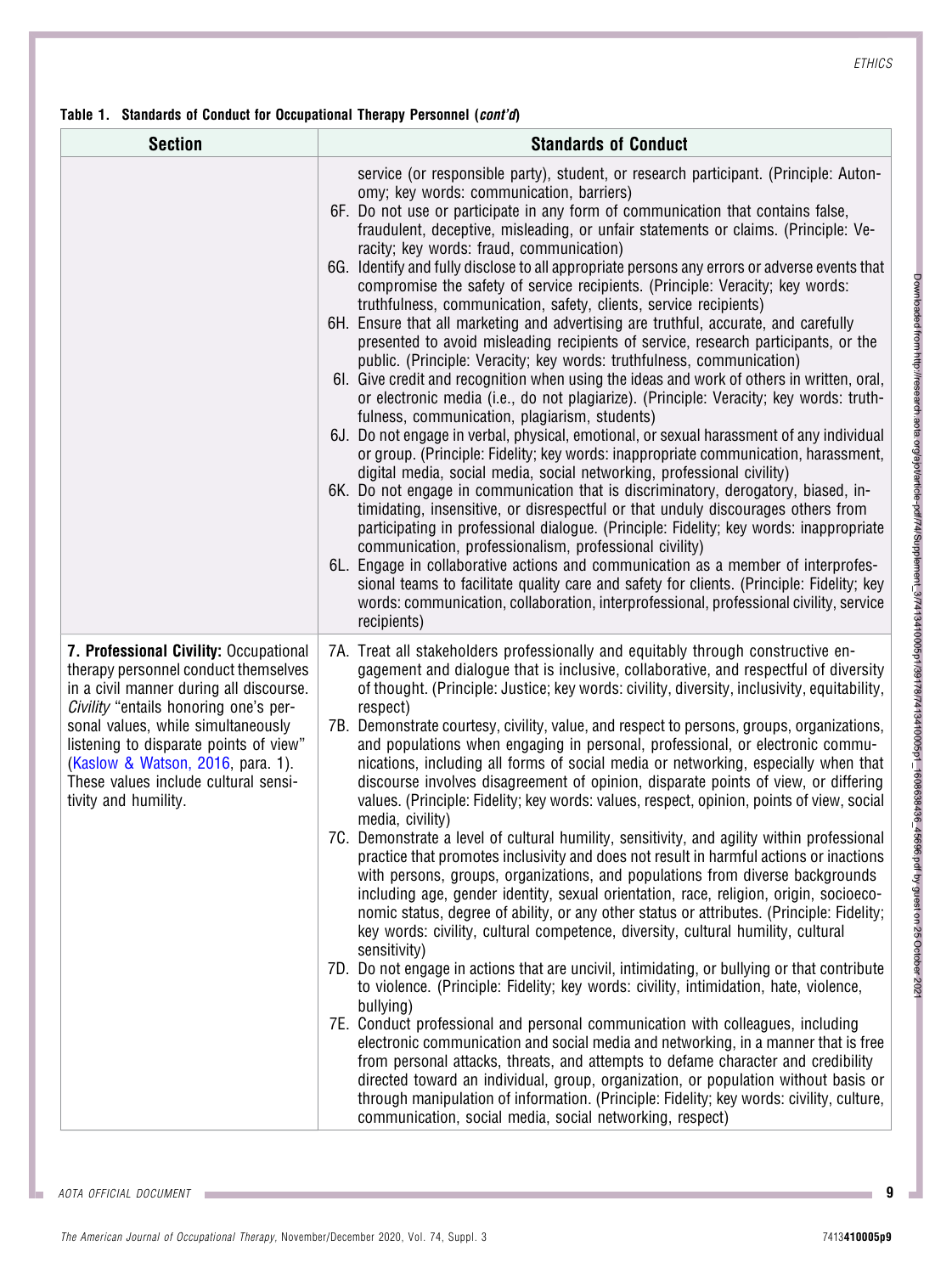#### Table 1. Standards of Conduct for Occupational Therapy Personnel (cont'd)

| <b>Section</b>                                                                                                                                                                                                                                                                                                                                          | <b>Standards of Conduct</b>                                                                                                                                                                                                                                                                                                                                                                                                                                                                                                                                                                                                                                                                                                                                                                                                                                                                                                                                                                                                                                                                                                                                                                                                                                                                                                                                                                                                                                                                                                                                                                                                                                                                                                                                                                                                                                                                                                                                                                                                                     |
|---------------------------------------------------------------------------------------------------------------------------------------------------------------------------------------------------------------------------------------------------------------------------------------------------------------------------------------------------------|-------------------------------------------------------------------------------------------------------------------------------------------------------------------------------------------------------------------------------------------------------------------------------------------------------------------------------------------------------------------------------------------------------------------------------------------------------------------------------------------------------------------------------------------------------------------------------------------------------------------------------------------------------------------------------------------------------------------------------------------------------------------------------------------------------------------------------------------------------------------------------------------------------------------------------------------------------------------------------------------------------------------------------------------------------------------------------------------------------------------------------------------------------------------------------------------------------------------------------------------------------------------------------------------------------------------------------------------------------------------------------------------------------------------------------------------------------------------------------------------------------------------------------------------------------------------------------------------------------------------------------------------------------------------------------------------------------------------------------------------------------------------------------------------------------------------------------------------------------------------------------------------------------------------------------------------------------------------------------------------------------------------------------------------------|
|                                                                                                                                                                                                                                                                                                                                                         | service (or responsible party), student, or research participant. (Principle: Auton-<br>omy; key words: communication, barriers)<br>6F. Do not use or participate in any form of communication that contains false,<br>fraudulent, deceptive, misleading, or unfair statements or claims. (Principle: Ve-<br>racity; key words: fraud, communication)<br>6G. Identify and fully disclose to all appropriate persons any errors or adverse events that<br>compromise the safety of service recipients. (Principle: Veracity; key words:<br>truthfulness, communication, safety, clients, service recipients)<br>6H. Ensure that all marketing and advertising are truthful, accurate, and carefully<br>presented to avoid misleading recipients of service, research participants, or the<br>public. (Principle: Veracity; key words: truthfulness, communication)<br>61. Give credit and recognition when using the ideas and work of others in written, oral,<br>or electronic media (i.e., do not plagiarize). (Principle: Veracity; key words: truth-<br>fulness, communication, plagiarism, students)<br>6J. Do not engage in verbal, physical, emotional, or sexual harassment of any individual<br>or group. (Principle: Fidelity; key words: inappropriate communication, harassment,<br>digital media, social media, social networking, professional civility)<br>6K. Do not engage in communication that is discriminatory, derogatory, biased, in-<br>timidating, insensitive, or disrespectful or that unduly discourages others from<br>participating in professional dialogue. (Principle: Fidelity; key words: inappropriate<br>communication, professionalism, professional civility)<br>6L. Engage in collaborative actions and communication as a member of interprofes-<br>sional teams to facilitate quality care and safety for clients. (Principle: Fidelity; key<br>words: communication, collaboration, interprofessional, professional civility, service<br>recipients)                                                 |
| 7. Professional Civility: Occupational<br>therapy personnel conduct themselves<br>in a civil manner during all discourse.<br>Civility "entails honoring one's per-<br>sonal values, while simultaneously<br>listening to disparate points of view"<br>(Kaslow & Watson, 2016, para. 1).<br>These values include cultural sensi-<br>tivity and humility. | 7A. Treat all stakeholders professionally and equitably through constructive en-<br>gagement and dialogue that is inclusive, collaborative, and respectful of diversity<br>of thought. (Principle: Justice; key words: civility, diversity, inclusivity, equitability,<br>respect)<br>7B. Demonstrate courtesy, civility, value, and respect to persons, groups, organizations,<br>and populations when engaging in personal, professional, or electronic commu-<br>nications, including all forms of social media or networking, especially when that<br>discourse involves disagreement of opinion, disparate points of view, or differing<br>values. (Principle: Fidelity; key words: values, respect, opinion, points of view, social<br>media, civility)<br>7C. Demonstrate a level of cultural humility, sensitivity, and agility within professional<br>practice that promotes inclusivity and does not result in harmful actions or inactions<br>with persons, groups, organizations, and populations from diverse backgrounds<br>including age, gender identity, sexual orientation, race, religion, origin, socioeco-<br>nomic status, degree of ability, or any other status or attributes. (Principle: Fidelity;<br>key words: civility, cultural competence, diversity, cultural humility, cultural<br>sensitivity)<br>7D. Do not engage in actions that are uncivil, intimidating, or bullying or that contribute<br>to violence. (Principle: Fidelity; key words: civility, intimidation, hate, violence,<br>bullying)<br>7E. Conduct professional and personal communication with colleagues, including<br>electronic communication and social media and networking, in a manner that is free<br>from personal attacks, threats, and attempts to defame character and credibility<br>directed toward an individual, group, organization, or population without basis or<br>through manipulation of information. (Principle: Fidelity; key words: civility, culture,<br>communication, social media, social networking, respect) |

Downloaded from http://research.ada.org/apriar/edgr/2/3/appement\_5/7413410009/13917817413410006p1\_1608638436\_4668-6169 guest on 25 October 2021 Downloaded from http://research.aota.org/ajot/article-pdf/74/Supplement\_3/7413410005p1/39178/7413410005p1\_1608638436\_45696.pdf by guest on 25 October 2021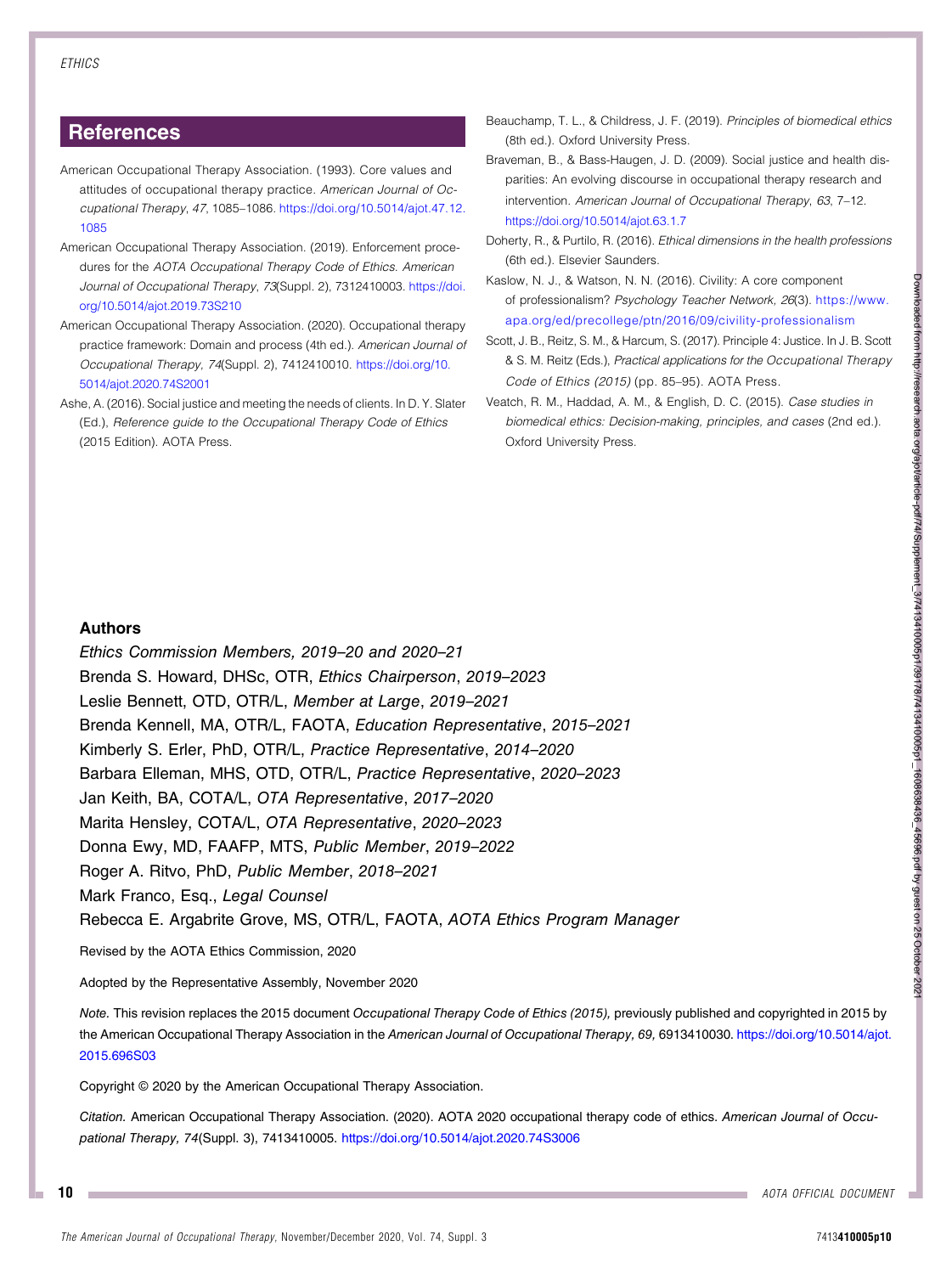# **References**

- <span id="page-11-2"></span>American Occupational Therapy Association. (1993). Core values and attitudes of occupational therapy practice. American Journal of Occupational Therapy, 47, 1085–1086. [https://doi.org/10.5014/ajot.47.12.](https://doi.org/10.5014/ajot.47.12.1085) [1085](https://doi.org/10.5014/ajot.47.12.1085)
- <span id="page-11-1"></span>American Occupational Therapy Association. (2019). Enforcement procedures for the AOTA Occupational Therapy Code of Ethics. American Journal of Occupational Therapy, 73(Suppl. 2), 7312410003. [https://doi.](https://doi.org/10.5014/ajot.2019.73S210) [org/10.5014/ajot.2019.73S210](https://doi.org/10.5014/ajot.2019.73S210)
- <span id="page-11-0"></span>American Occupational Therapy Association. (2020). Occupational therapy practice framework: Domain and process (4th ed.). American Journal of Occupational Therapy, 74(Suppl. 2), 7412410010. [https://doi.org/10.](https://doi.org/10.5014/ajot.2020.74S2001) [5014/ajot.2020.74S2001](https://doi.org/10.5014/ajot.2020.74S2001)
- <span id="page-11-3"></span>Ashe, A. (2016). Social justice and meeting the needs of clients. In D. Y. Slater (Ed.), Reference guide to the Occupational Therapy Code of Ethics (2015 Edition). AOTA Press.
- <span id="page-11-6"></span>Beauchamp, T. L., & Childress, J. F. (2019). Principles of biomedical ethics (8th ed.). Oxford University Press.
- <span id="page-11-4"></span>Braveman, B., & Bass-Haugen, J. D. (2009). Social justice and health disparities: An evolving discourse in occupational therapy research and intervention. American Journal of Occupational Therapy, 63, 7–12. <https://doi.org/10.5014/ajot.63.1.7>
- <span id="page-11-7"></span>Doherty, R., & Purtilo, R. (2016). Ethical dimensions in the health professions (6th ed.). Elsevier Saunders.
- <span id="page-11-9"></span>Kaslow, N. J., & Watson, N. N. (2016). Civility: A core component of professionalism? Psychology Teacher Network, 26(3). [https://www.](https://www.apa.org/ed/precollege/ptn/2016/09/civility-professionalism) [apa.org/ed/precollege/ptn/2016/09/civility-professionalism](https://www.apa.org/ed/precollege/ptn/2016/09/civility-professionalism)
- <span id="page-11-5"></span>Scott, J. B., Reitz, S. M., & Harcum, S. (2017). Principle 4: Justice. In J. B. Scott & S. M. Reitz (Eds.), Practical applications for the Occupational Therapy Code of Ethics (2015) (pp. 85–95). AOTA Press.
- <span id="page-11-8"></span>Veatch, R. M., Haddad, A. M., & English, D. C. (2015). Case studies in biomedical ethics: Decision-making, principles, and cases (2nd ed.). Oxford University Press.

#### Authors

Ethics Commission Members, 2019–20 and 2020–21 Brenda S. Howard, DHSc, OTR, Ethics Chairperson, 2019–2023 Leslie Bennett, OTD, OTR/L, Member at Large, 2019–2021 Brenda Kennell, MA, OTR/L, FAOTA, Education Representative, 2015–2021 Kimberly S. Erler, PhD, OTR/L, Practice Representative, 2014–2020 Barbara Elleman, MHS, OTD, OTR/L, Practice Representative, 2020–2023 Jan Keith, BA, COTA/L, OTA Representative, 2017–2020 Marita Hensley, COTA/L, OTA Representative, 2020–2023 Donna Ewy, MD, FAAFP, MTS, Public Member, 2019–2022 Roger A. Ritvo, PhD, Public Member, 2018–2021 Mark Franco, Esq., Legal Counsel Rebecca E. Argabrite Grove, MS, OTR/L, FAOTA, AOTA Ethics Program Manager

Revised by the AOTA Ethics Commission, 2020

Adopted by the Representative Assembly, November 2020

Note. This revision replaces the 2015 document Occupational Therapy Code of Ethics (2015), previously published and copyrighted in 2015 by the American Occupational Therapy Association in the American Journal of Occupational Therapy, 69, 6913410030. [https://doi.org/10.5014/ajot.](https://doi.org/10.5014/ajot.2015.696S03) [2015.696S03](https://doi.org/10.5014/ajot.2015.696S03)

Copyright © 2020 by the American Occupational Therapy Association.

Citation. American Occupational Therapy Association. (2020). AOTA 2020 occupational therapy code of ethics. American Journal of Occupational Therapy, 74(Suppl. 3), 7413410005. <https://doi.org/10.5014/ajot.2020.74S3006>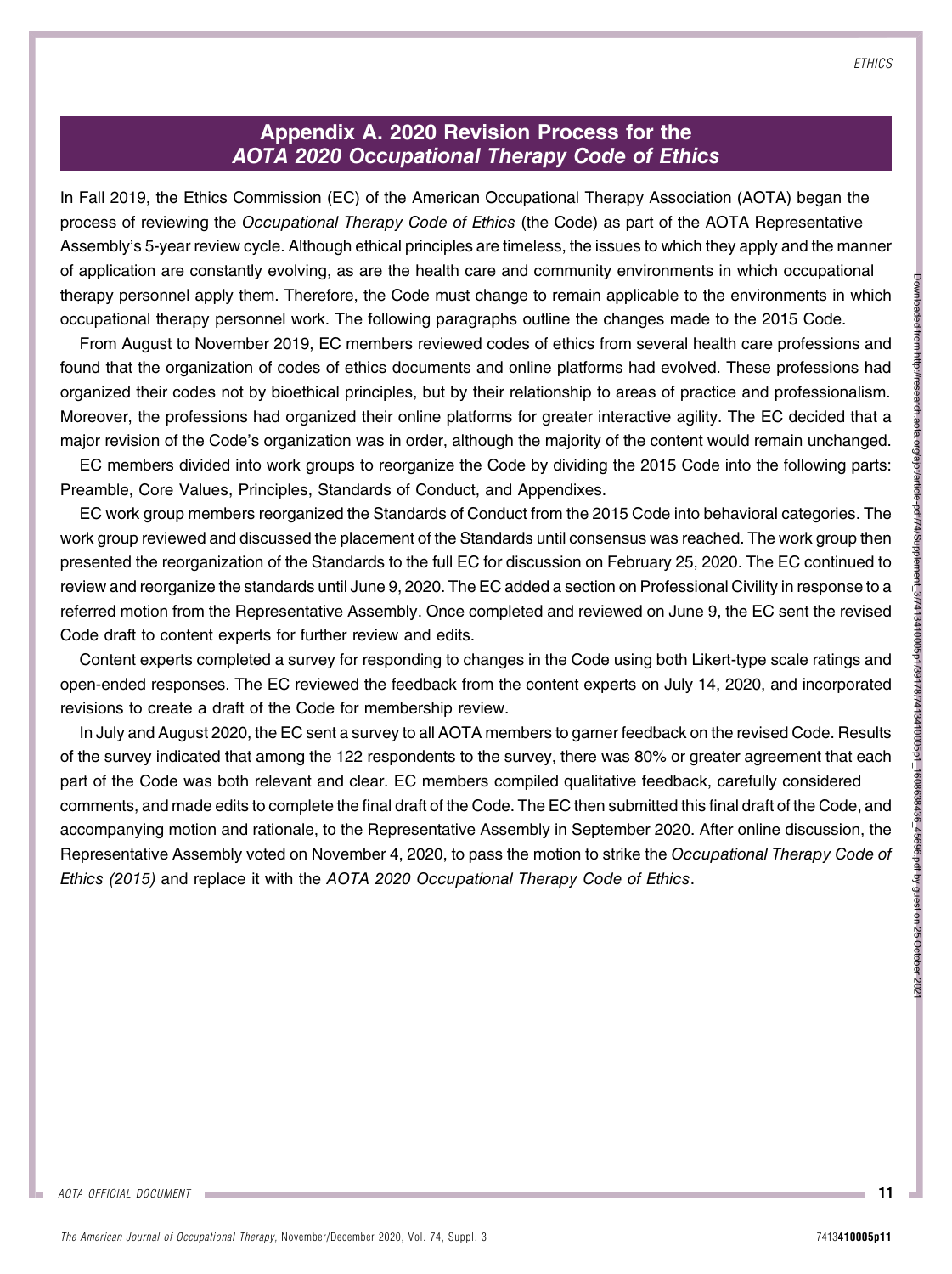# AOTA OFFICIAL DOCUMENT

# Appendix A. 2020 Revision Process for the AOTA 2020 Occupational Therapy Code of Ethics

In Fall 2019, the Ethics Commission (EC) of the American Occupational Therapy Association (AOTA) began the process of reviewing the Occupational Therapy Code of Ethics (the Code) as part of the AOTA Representative Assembly's 5-year review cycle. Although ethical principles are timeless, the issues to which they apply and the manner of application are constantly evolving, as are the health care and community environments in which occupational therapy personnel apply them. Therefore, the Code must change to remain applicable to the environments in which occupational therapy personnel work. The following paragraphs outline the changes made to the 2015 Code.

From August to November 2019, EC members reviewed codes of ethics from several health care professions and found that the organization of codes of ethics documents and online platforms had evolved. These professions had organized their codes not by bioethical principles, but by their relationship to areas of practice and professionalism. Moreover, the professions had organized their online platforms for greater interactive agility. The EC decided that a major revision of the Code's organization was in order, although the majority of the content would remain unchanged.

EC members divided into work groups to reorganize the Code by dividing the 2015 Code into the following parts: Preamble, Core Values, Principles, Standards of Conduct, and Appendixes.

EC work group members reorganized the Standards of Conduct from the 2015 Code into behavioral categories. The work group reviewed and discussed the placement of the Standards until consensus was reached. The work group then presented the reorganization of the Standards to the full EC for discussion on February 25, 2020. The EC continued to review and reorganize the standards until June 9, 2020. The EC added a section on Professional Civility in response to a referred motion from the Representative Assembly. Once completed and reviewed on June 9, the EC sent the revised Code draft to content experts for further review and edits.

Content experts completed a survey for responding to changes in the Code using both Likert-type scale ratings and open-ended responses. The EC reviewed the feedback from the content experts on July 14, 2020, and incorporated revisions to create a draft of the Code for membership review.

In July and August 2020, the EC sent a survey to all AOTA members to garner feedback on the revised Code. Results of the survey indicated that among the 122 respondents to the survey, there was 80% or greater agreement that each part of the Code was both relevant and clear. EC members compiled qualitative feedback, carefully considered comments, and made edits to complete the final draft of the Code. The EC then submitted this final draft of the Code, and accompanying motion and rationale, to the Representative Assembly in September 2020. After online discussion, the Representative Assembly voted on November 4, 2020, to pass the motion to strike the Occupational Therapy Code of Ethics (2015) and replace it with the AOTA 2020 Occupational Therapy Code of Ethics.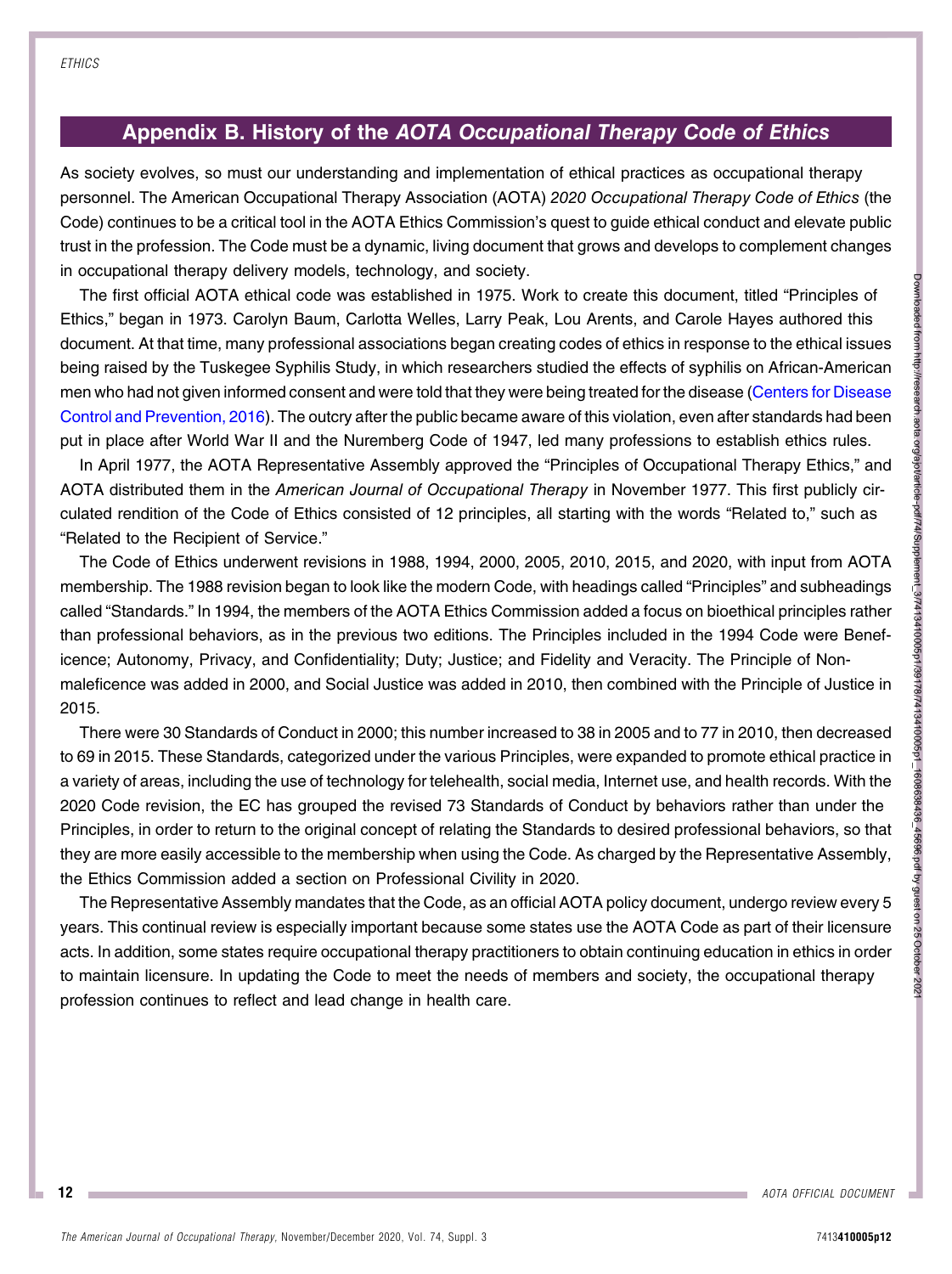# Appendix B. History of the AOTA Occupational Therapy Code of Ethics

As society evolves, so must our understanding and implementation of ethical practices as occupational therapy personnel. The American Occupational Therapy Association (AOTA) 2020 Occupational Therapy Code of Ethics (the Code) continues to be a critical tool in the AOTA Ethics Commission's quest to guide ethical conduct and elevate public trust in the profession. The Code must be a dynamic, living document that grows and develops to complement changes in occupational therapy delivery models, technology, and society.

The first official AOTA ethical code was established in 1975. Work to create this document, titled "Principles of Ethics," began in 1973. Carolyn Baum, Carlotta Welles, Larry Peak, Lou Arents, and Carole Hayes authored this document. At that time, many professional associations began creating codes of ethics in response to the ethical issues being raised by the Tuskegee Syphilis Study, in which researchers studied the effects of syphilis on African-American men who had not given informed consent and were told that they were being treated for the disease [\(Centers for Disease](#page-14-0) [Control and Prevention, 2016\)](#page-14-0). The outcry after the public became aware of this violation, even after standards had been put in place after World War II and the Nuremberg Code of 1947, led many professions to establish ethics rules.

In April 1977, the AOTA Representative Assembly approved the "Principles of Occupational Therapy Ethics," and AOTA distributed them in the American Journal of Occupational Therapy in November 1977. This first publicly circulated rendition of the Code of Ethics consisted of 12 principles, all starting with the words "Related to," such as "Related to the Recipient of Service."

The Code of Ethics underwent revisions in 1988, 1994, 2000, 2005, 2010, 2015, and 2020, with input from AOTA membership. The 1988 revision began to look like the modern Code, with headings called "Principles" and subheadings called "Standards." In 1994, the members of the AOTA Ethics Commission added a focus on bioethical principles rather than professional behaviors, as in the previous two editions. The Principles included in the 1994 Code were Beneficence; Autonomy, Privacy, and Confidentiality; Duty; Justice; and Fidelity and Veracity. The Principle of Nonmaleficence was added in 2000, and Social Justice was added in 2010, then combined with the Principle of Justice in 2015.

There were 30 Standards of Conduct in 2000; this number increased to 38 in 2005 and to 77 in 2010, then decreased to 69 in 2015. These Standards, categorized under the various Principles, were expanded to promote ethical practice in a variety of areas, including the use of technology for telehealth, social media, Internet use, and health records. With the 2020 Code revision, the EC has grouped the revised 73 Standards of Conduct by behaviors rather than under the Principles, in order to return to the original concept of relating the Standards to desired professional behaviors, so that they are more easily accessible to the membership when using the Code. As charged by the Representative Assembly, the Ethics Commission added a section on Professional Civility in 2020.

The Representative Assembly mandates that the Code, as an official AOTA policy document, undergo review every 5 years. This continual review is especially important because some states use the AOTA Code as part of their licensure acts. In addition, some states require occupational therapy practitioners to obtain continuing education in ethics in order to maintain licensure. In updating the Code to meet the needs of members and society, the occupational therapy profession continues to reflect and lead change in health care.